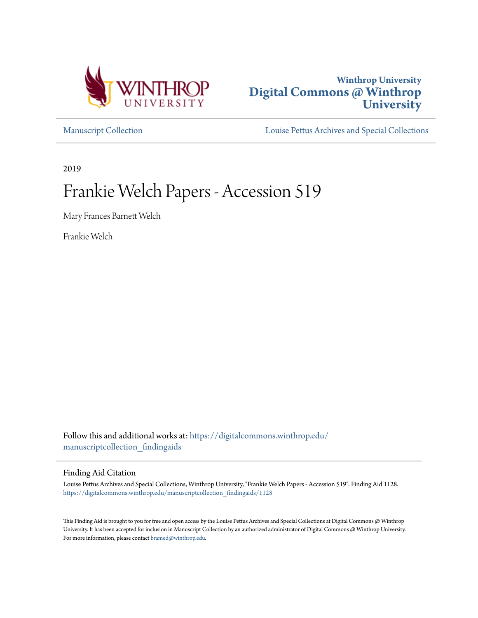



[Manuscript Collection](https://digitalcommons.winthrop.edu/manuscriptcollection_findingaids?utm_source=digitalcommons.winthrop.edu%2Fmanuscriptcollection_findingaids%2F1128&utm_medium=PDF&utm_campaign=PDFCoverPages) [Louise Pettus Archives and Special Collections](https://digitalcommons.winthrop.edu/pettus_archives?utm_source=digitalcommons.winthrop.edu%2Fmanuscriptcollection_findingaids%2F1128&utm_medium=PDF&utm_campaign=PDFCoverPages)

2019

# Frankie Welch Papers - Accession 519

Mary Frances Barnett Welch

Frankie Welch

Follow this and additional works at: [https://digitalcommons.winthrop.edu/](https://digitalcommons.winthrop.edu/manuscriptcollection_findingaids?utm_source=digitalcommons.winthrop.edu%2Fmanuscriptcollection_findingaids%2F1128&utm_medium=PDF&utm_campaign=PDFCoverPages) [manuscriptcollection\\_findingaids](https://digitalcommons.winthrop.edu/manuscriptcollection_findingaids?utm_source=digitalcommons.winthrop.edu%2Fmanuscriptcollection_findingaids%2F1128&utm_medium=PDF&utm_campaign=PDFCoverPages)

#### Finding Aid Citation

Louise Pettus Archives and Special Collections, Winthrop University, "Frankie Welch Papers - Accession 519". Finding Aid 1128. [https://digitalcommons.winthrop.edu/manuscriptcollection\\_findingaids/1128](https://digitalcommons.winthrop.edu/manuscriptcollection_findingaids/1128?utm_source=digitalcommons.winthrop.edu%2Fmanuscriptcollection_findingaids%2F1128&utm_medium=PDF&utm_campaign=PDFCoverPages)

This Finding Aid is brought to you for free and open access by the Louise Pettus Archives and Special Collections at Digital Commons @ Winthrop University. It has been accepted for inclusion in Manuscript Collection by an authorized administrator of Digital Commons @ Winthrop University. For more information, please contact [bramed@winthrop.edu.](mailto:bramed@winthrop.edu)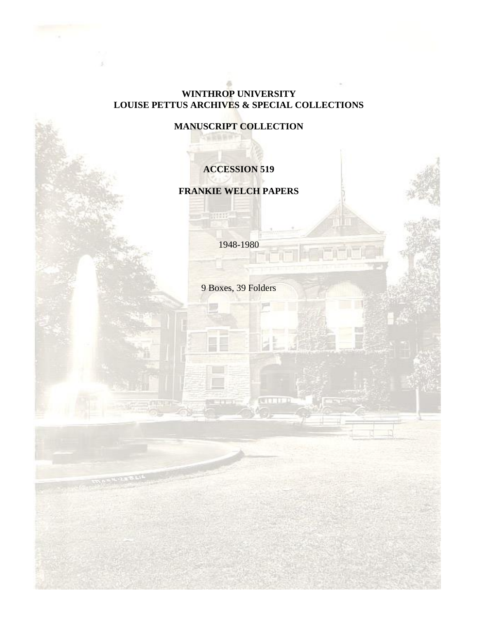### **WINTHROP UNIVERSITY LOUISE PETTUS ARCHIVES & SPECIAL COLLECTIONS**

### **MANUSCRIPT COLLECTION**

○ 北西長 武下

HTHE-

### **ACCESSION 519**

### **FRANKIE WELCH PAPERS**

1948-1980

9 Boxes, 39 Folders

**CHILLER**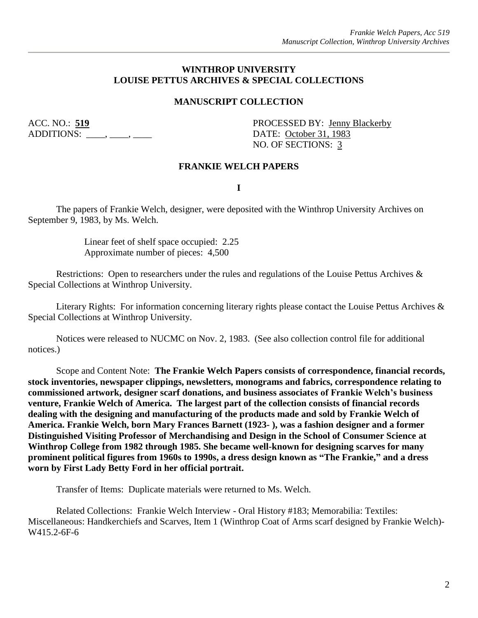#### **WINTHROP UNIVERSITY LOUISE PETTUS ARCHIVES & SPECIAL COLLECTIONS**

#### **MANUSCRIPT COLLECTION**

ADDITIONS: \_\_\_\_, \_\_\_, \_\_\_\_, DATE: <u>October 31, 1983</u>

ACC. NO.: 519 PROCESSED BY: Jenny Blackerby NO. OF SECTIONS: 3

#### **FRANKIE WELCH PAPERS**

**I**

The papers of Frankie Welch, designer, were deposited with the Winthrop University Archives on September 9, 1983, by Ms. Welch.

> Linear feet of shelf space occupied: 2.25 Approximate number of pieces: 4,500

Restrictions: Open to researchers under the rules and regulations of the Louise Pettus Archives & Special Collections at Winthrop University.

Literary Rights: For information concerning literary rights please contact the Louise Pettus Archives & Special Collections at Winthrop University.

Notices were released to NUCMC on Nov. 2, 1983. (See also collection control file for additional notices.)

Scope and Content Note: **The Frankie Welch Papers consists of correspondence, financial records, stock inventories, newspaper clippings, newsletters, monograms and fabrics, correspondence relating to commissioned artwork, designer scarf donations, and business associates of Frankie Welch's business venture, Frankie Welch of America. The largest part of the collection consists of financial records dealing with the designing and manufacturing of the products made and sold by Frankie Welch of America. Frankie Welch, born Mary Frances Barnett (1923- ), was a fashion designer and a former Distinguished Visiting Professor of Merchandising and Design in the School of Consumer Science at Winthrop College from 1982 through 1985. She became well-known for designing scarves for many prominent political figures from 1960s to 1990s, a dress design known as "The Frankie," and a dress worn by First Lady Betty Ford in her official portrait.** 

Transfer of Items: Duplicate materials were returned to Ms. Welch.

Related Collections: Frankie Welch Interview - Oral History #183; Memorabilia: Textiles: Miscellaneous: Handkerchiefs and Scarves, Item 1 (Winthrop Coat of Arms scarf designed by Frankie Welch)- W415.2-6F-6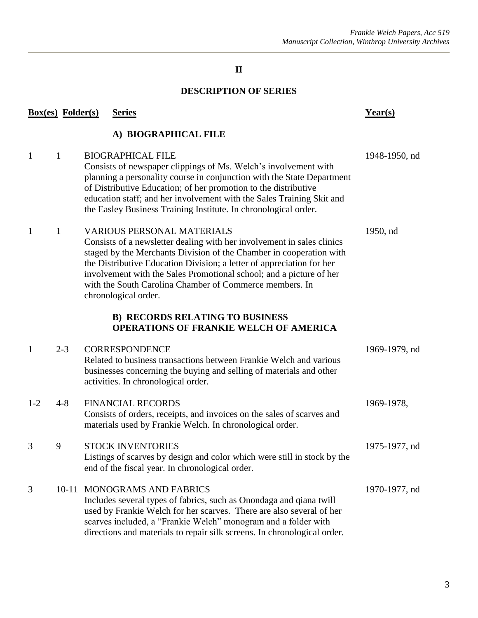### **II**

### **DESCRIPTION OF SERIES**

|                                                                                         | <b>Box(es)</b> Folder(s) | <b>Series</b>                                                                                                                                                                                                                                                                                                                                                                                                         | Year(s)       |  |  |  |  |
|-----------------------------------------------------------------------------------------|--------------------------|-----------------------------------------------------------------------------------------------------------------------------------------------------------------------------------------------------------------------------------------------------------------------------------------------------------------------------------------------------------------------------------------------------------------------|---------------|--|--|--|--|
| A) BIOGRAPHICAL FILE                                                                    |                          |                                                                                                                                                                                                                                                                                                                                                                                                                       |               |  |  |  |  |
| 1                                                                                       | $\mathbf{1}$             | <b>BIOGRAPHICAL FILE</b><br>Consists of newspaper clippings of Ms. Welch's involvement with<br>planning a personality course in conjunction with the State Department<br>of Distributive Education; of her promotion to the distributive<br>education staff; and her involvement with the Sales Training Skit and<br>the Easley Business Training Institute. In chronological order.                                  | 1948-1950, nd |  |  |  |  |
| 1                                                                                       | $\mathbf{1}$             | <b>VARIOUS PERSONAL MATERIALS</b><br>Consists of a newsletter dealing with her involvement in sales clinics<br>staged by the Merchants Division of the Chamber in cooperation with<br>the Distributive Education Division; a letter of appreciation for her<br>involvement with the Sales Promotional school; and a picture of her<br>with the South Carolina Chamber of Commerce members. In<br>chronological order. | 1950, nd      |  |  |  |  |
| <b>B) RECORDS RELATING TO BUSINESS</b><br><b>OPERATIONS OF FRANKIE WELCH OF AMERICA</b> |                          |                                                                                                                                                                                                                                                                                                                                                                                                                       |               |  |  |  |  |
| 1                                                                                       | $2 - 3$                  | <b>CORRESPONDENCE</b><br>Related to business transactions between Frankie Welch and various<br>businesses concerning the buying and selling of materials and other<br>activities. In chronological order.                                                                                                                                                                                                             | 1969-1979, nd |  |  |  |  |
| $1-2$                                                                                   | $4 - 8$                  | <b>FINANCIAL RECORDS</b><br>Consists of orders, receipts, and invoices on the sales of scarves and<br>materials used by Frankie Welch. In chronological order.                                                                                                                                                                                                                                                        | 1969-1978,    |  |  |  |  |
| 3                                                                                       | 9                        | <b>STOCK INVENTORIES</b><br>Listings of scarves by design and color which were still in stock by the<br>end of the fiscal year. In chronological order.                                                                                                                                                                                                                                                               | 1975-1977, nd |  |  |  |  |
| 3                                                                                       | $10 - 11$                | <b>MONOGRAMS AND FABRICS</b><br>Includes several types of fabrics, such as Onondaga and qiana twill<br>used by Frankie Welch for her scarves. There are also several of her<br>scarves included, a "Frankie Welch" monogram and a folder with<br>directions and materials to repair silk screens. In chronological order.                                                                                             | 1970-1977, nd |  |  |  |  |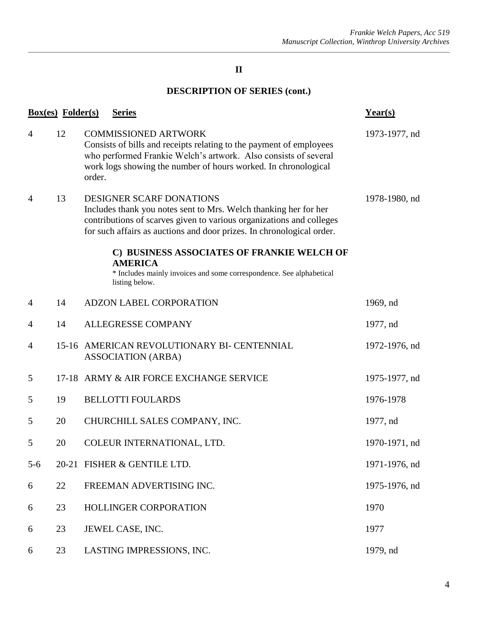### **II**

# **DESCRIPTION OF SERIES (cont.)**

|                | <b>Box(es)</b> Folder(s) | <b>Series</b>                                                                                                                                                                                                                                     | Year(s)       |
|----------------|--------------------------|---------------------------------------------------------------------------------------------------------------------------------------------------------------------------------------------------------------------------------------------------|---------------|
| $\overline{4}$ | 12                       | <b>COMMISSIONED ARTWORK</b><br>Consists of bills and receipts relating to the payment of employees<br>who performed Frankie Welch's artwork. Also consists of several<br>work logs showing the number of hours worked. In chronological<br>order. | 1973-1977, nd |
| $\overline{4}$ | 13                       | DESIGNER SCARF DONATIONS<br>Includes thank you notes sent to Mrs. Welch thanking her for her<br>contributions of scarves given to various organizations and colleges<br>for such affairs as auctions and door prizes. In chronological order.     | 1978-1980, nd |
|                |                          | C) BUSINESS ASSOCIATES OF FRANKIE WELCH OF<br><b>AMERICA</b><br>* Includes mainly invoices and some correspondence. See alphabetical<br>listing below.                                                                                            |               |
| $\overline{4}$ | 14                       | ADZON LABEL CORPORATION                                                                                                                                                                                                                           | 1969, nd      |
| $\overline{4}$ | 14                       | <b>ALLEGRESSE COMPANY</b>                                                                                                                                                                                                                         | 1977, nd      |
| $\overline{4}$ |                          | 15-16 AMERICAN REVOLUTIONARY BI- CENTENNIAL<br><b>ASSOCIATION (ARBA)</b>                                                                                                                                                                          | 1972-1976, nd |
| 5              |                          | 17-18 ARMY & AIR FORCE EXCHANGE SERVICE                                                                                                                                                                                                           | 1975-1977, nd |
| 5              | 19                       | <b>BELLOTTI FOULARDS</b>                                                                                                                                                                                                                          | 1976-1978     |
| 5              | 20                       | CHURCHILL SALES COMPANY, INC.                                                                                                                                                                                                                     | 1977, nd      |
| 5              | 20                       | COLEUR INTERNATIONAL, LTD.                                                                                                                                                                                                                        | 1970-1971, nd |
| $5 - 6$        |                          | 20-21 FISHER & GENTILE LTD.                                                                                                                                                                                                                       | 1971-1976, nd |
| 6              | 22                       | FREEMAN ADVERTISING INC.                                                                                                                                                                                                                          | 1975-1976, nd |
| 6              | 23                       | <b>HOLLINGER CORPORATION</b>                                                                                                                                                                                                                      | 1970          |
| 6              | 23                       | JEWEL CASE, INC.                                                                                                                                                                                                                                  | 1977          |
| 6              | 23                       | LASTING IMPRESSIONS, INC.                                                                                                                                                                                                                         | 1979, nd      |